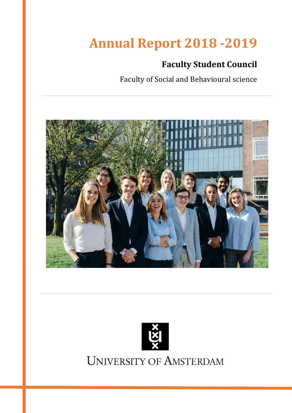# **Annual Report 2018 -2019**

## **Faculty Student Council**

Faculty of Social and Behavioural science





**UNIVERSITY OF AMSTERDAM**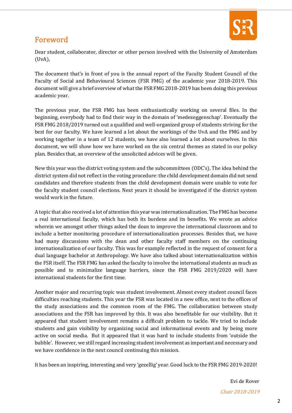

## Foreword

Dear student, collaborator, director or other person involved with the University of Amsterdam (UvA),

The document that's in front of you is the annual report of the Faculty Student Council of the Faculty of Social and Behavioural Sciences (FSR FMG) of the academic year 2018-2019. This document will give a brief overview of what the FSR FMG 2018-2019 has been doing this previous academic year.

The previous year, the FSR FMG has been enthusiastically working on several files. In the beginning, everybody had to find their way in the domain of 'medezeggenschap'. Eventually the FSR FMG 2018/2019 turned out a qualified and well-organized group of students striving for the best for our faculty. We have learned a lot about the workings of the UvA and the FMG and by working together in a team of 12 students, we have also learned a lot about ourselves. In this document, we will show how we have worked on the six central themes as stated in our policy plan. Besides that, an overview of the unsolicited advices will be given.

New this year was the district voting system and the subcommittees (ODC's). The idea behind the district system did not reflect in the voting procedure: the child development domain did not send candidates and therefore students from the child development domain were unable to vote for the faculty student council elections. Next years it should be investigated if the district system would work in the future.

A topic that also received a lot of attention this year was internationalization. The FMG has become a real international faculty, which has both its burdens and its benefits. We wrote an advice wherein we amongst other things asked the dean to improve the international classroom and to include a better monitoring procedure of internationalization processes. Besides that, we have had many discussions with the dean and other faculty staff members on the continuing internationalization of our faculty. This was for example reflected in the request of consent for a dual language bachelor at Anthropology. We have also talked about internationalization within the FSR itself. The FSR FMG has asked the faculty to involve the international students as much as possible and to minimalize language barriers, since the FSR FMG 2019/2020 will have international students for the first time.

Another major and recurring topic was student involvement. Almost every student council faces difficulties reaching students. This year the FSR was located in a new office, next to the offices of the study associations and the common room of the FMG. The collaboration between study associations and the FSR has improved by this. It was also benefitable for our visibility. But it appeared that student involvement remains a difficult problem to tackle. We tried to include students and gain visibility by organizing social and informational events and by being more active on social media. But it appeared that it was hard to include students from 'outside the bubble'. However, we still regard increasing student involvement as important and necessary and we have confidence in the next council continuing this mission.

It has been an inspiring, interesting and very 'gezellig' year. Good luck to the FSR FMG 2019-2020!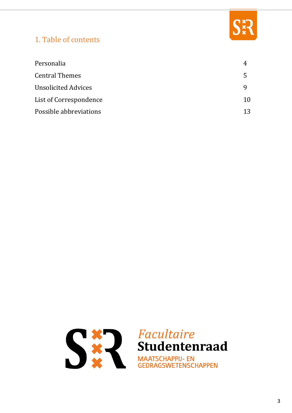

## 1. Table of contents

| Personalia                 |    |
|----------------------------|----|
| <b>Central Themes</b>      | 5  |
| <b>Unsolicited Advices</b> |    |
| List of Correspondence     | 10 |
| Possible abbreviations     | 13 |

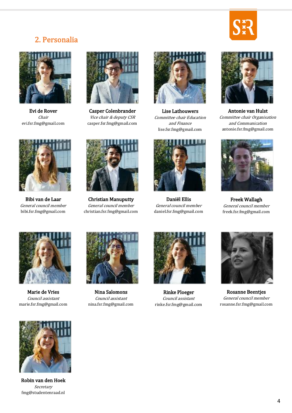

## 2. Personalia



Evi de Rover Chair evi.fsr.fmg@gmail.com



Casper Colenbrander Vice chair & deputy CSR casper.fsr.fmg@gmail.com



Lise Lathouwers Committee chair Education and Finance lise.fsr.fmg@gmail.com



Daniël Ellis General council member daniel.fsr.fmg@gmail.com



Antonie van Hulst Committee chair Organisation and Communication antonie.fsr.fmg@gmail.com



Freek Wallagh General council member freek.fsr.fmg@gmail.com



Bibi van de Laar General council member bibi.fsr.fmg@gmail.com



Christian Manuputty General council member christian.fsr.fmg@gmail.com



Marie de Vries Council assistant marie.fsr.fmg@gmail.com



Nina Salomons Council assistant nina.fsr.fmg@gmail.com



Rinke Ploeger Council assistant rinke.fsr.fmg@gmail.com



Rosanne Beentjes General council member rosanne.fsr.fmg@gmail.com



Robin van den Hoek Secretary fmg@studentenraad.nl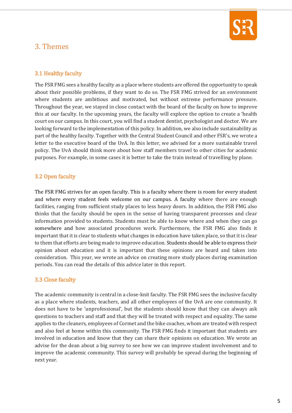

## 3. Themes

#### 3.1 Healthy faculty

The FSR FMG sees a healthy faculty as a place where students are offered the opportunity to speak about their possible problems, if they want to do so. The FSR FMG strived for an environment where students are ambitious and motivated, but without extreme performance pressure. Throughout the year, we stayed in close contact with the board of the faculty on how to improve this at our faculty. In the upcoming years, the faculty will explore the option to create a 'health court on our campus. In this court, you will find a student dentist, psychologist and doctor. We are looking forward to the implementation of this policy. In addition, we also include sustainability as part of the healthy faculty. Together with the Central Student Council and other FSR's, we wrote a letter to the executive board of the UvA. In this letter, we advised for a more sustainable travel policy. The UvA should think more about how staff members travel to other cities for academic purposes. For example, in some cases it is better to take the train instead of travelling by plane.

#### 3.2 Open faculty

The FSR FMG strives for an open faculty. This is a faculty where there is room for every student and where every student feels welcome on our campus. A faculty where there are enough facilities, ranging from sufficient study places to less heavy doors. In addition, the FSR FMG also thinks that the faculty should be open in the sense of having transparent processes and clear information provided to students. Students must be able to know where and when they can go somewhere and how associated procedures work. Furthermore, the FSR FMG also finds it important that it is clear to students what changes in education have taken place, so that it is clear to them that efforts are being made to improve education. Students should be able to express their opinion about education and it is important that these opinions are heard and taken into consideration. This year, we wrote an advice on creating more study places during examination periods. You can read the details of this advice later in this report.

#### 3.3 Close faculty

The academic community is central in a close-knit faculty. The FSR FMG sees the inclusive faculty as a place where students, teachers, and all other employees of the UvA are one community. It does not have to be 'unprofessional', but the students should know that they can always ask questions to teachers and staff and that they will be treated with respect and equality. The same applies to the cleaners, employees of Cormet and the bike coaches, whom are treated with respect and also feel at home within this community. The FSR FMG finds it important that students are involved in education and know that they can share their opinions on education. We wrote an advise for the dean about a big survey to see how we can improve student involvement and to improve the academic community. This survey will probably be spread during the beginning of next year.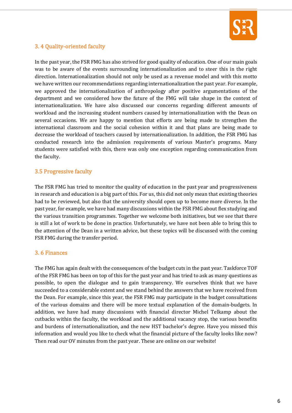

#### 3. 4 Quality-oriented faculty

In the past year, the FSR FMG has also strived for good quality of education. One of our main goals was to be aware of the events surrounding internationalization and to steer this in the right direction. Internationalization should not only be used as a revenue model and with this motto we have written our recommendations regarding internationalization the past year. For example, we approved the internationalization of anthropology after positive argumentations of the department and we considered how the future of the FMG will take shape in the context of internationalization. We have also discussed our concerns regarding different amounts of workload and the increasing student numbers caused by internationalization with the Dean on several occasions. We are happy to mention that efforts are being made to strengthen the international classroom and the social cohesion within it and that plans are being made to decrease the workload of teachers caused by internationalization. In addition, the FSR FMG has conducted research into the admission requirements of various Master's programs. Many students were satisfied with this, there was only one exception regarding communication from the faculty.

#### 3.5 Progressive faculty

The FSR FMG has tried to monitor the quality of education in the past year and progressiveness in research and education is a big part of this. For us, this did not only mean that existing theories had to be reviewed, but also that the university should open up to become more diverse. In the past year, for example, we have had many discussions within the FSR FMG about flex studying and the various transition programmes. Together we welcome both initiatives, but we see that there is still a lot of work to be done in practice. Unfortunately, we have not been able to bring this to the attention of the Dean in a written advice, but these topics will be discussed with the coming FSR FMG during the transfer period.

#### 3. 6 Finances

The FMG has again dealt with the consequences of the budget cuts in the past year. Taskforce TOF of the FSR FMG has been on top of this for the past year and has tried to ask as many questions as possible, to open the dialogue and to gain transparency. We ourselves think that we have succeeded to a considerable extent and we stand behind the answers that we have received from the Dean. For example, since this year, the FSR FMG may participate in the budget consultations of the various domains and there will be more textual explanation of the domain-budgets. In addition, we have had many discussions with financial director Michel Telkamp about the cutbacks within the faculty, the workload and the additional vacancy stop, the various benefits and burdens of internationalization, and the new HST bachelor's degree. Have you missed this information and would you like to check what the financial picture of the faculty looks like now? Then read our OV minutes from the past year. These are online on our website!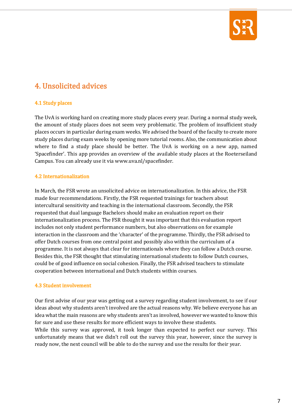

## 4. Unsolicited advices

#### 4.1 Study places

The UvA is working hard on creating more study places every year. During a normal study week, the amount of study places does not seem very problematic. The problem of insufficient study places occurs in particular during exam weeks. We advised the board of the faculty to create more study places during exam weeks by opening more tutorial rooms. Also, the communication about where to find a study place should be better. The UvA is working on a new app, named 'Spacefinder'. This app provides an overview of the available study places at the Roeterseiland Campus. You can already use it vi[a www.uva.nl/spacefinder.](http://www.uva.nl/spacefinder)

#### 4.2 Internationalization

In March, the FSR wrote an unsolicited advice on internationalization. In this advice, the FSR made four recommendations. Firstly, the FSR requested trainings for teachers about intercultural sensitivity and teaching in the international classroom. Secondly, the FSR requested that dual language Bachelors should make an evaluation report on their internationalization process. The FSR thought it was important that this evaluation report includes not only student performance numbers, but also observations on for example interaction in the classroom and the 'character' of the programme. Thirdly, the FSR advised to offer Dutch courses from one central point and possibly also within the curriculum of a programme. It is not always that clear for internationals where they can follow a Dutch course. Besides this, the FSR thought that stimulating international students to follow Dutch courses, could be of good influence on social cohesion. Finally, the FSR advised teachers to stimulate cooperation between international and Dutch students within courses.

#### 4.3 Student involvement

Our first advise of our year was getting out a survey regarding student involvement, to see if our ideas about why students aren't involved are the actual reasons why. We believe everyone has an idea what the main reasons are why students aren't as involved, however we wanted to know this for sure and use these results for more efficient ways to involve these students.

While this survey was approved, it took longer than expected to perfect our survey. This unfortunately means that we didn't roll out the survey this year, however, since the survey is ready now, the next council will be able to do the survey and use the results for their year.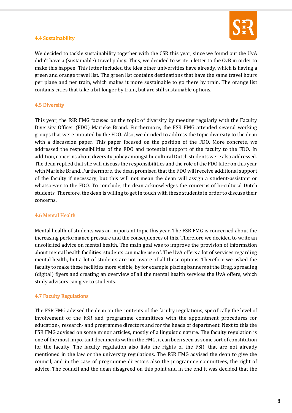

#### 4.4 Sustainability

We decided to tackle sustainability together with the CSR this year, since we found out the UvA didn't have a (sustainable) travel policy. Thus, we decided to write a letter to the CvB in order to make this happen. This letter included the idea other universities have already, which is having a green and orange travel list. The green list contains destinations that have the same travel hours per plane and per train, which makes it more sustainable to go there by train. The orange list contains cities that take a bit longer by train, but are still sustainable options.

#### 4.5 Diversity

This year, the FSR FMG focused on the topic of diversity by meeting regularly with the Faculty Diversity Officer (FDO) Marieke Brand. Furthermore, the FSR FMG attended several working groups that were initiated by the FDO. Also, we decided to address the topic diversity to the dean with a discussion paper. This paper focused on the position of the FDO. More concrete, we addressed the responsibilities of the FDO and potential support of the faculty to the FDO. In addition, concerns about diversity policy amongst bi-cultural Dutch students were also addressed. The dean replied that she will discuss the responsibilities and the role of the FDO later on this year with Marieke Brand. Furthermore, the dean promised that the FDO will receive additional support of the faculty if necessary, but this will not mean the dean will assign a student-assistant or whatsoever to the FDO. To conclude, the dean acknowledges the concerns of bi-cultural Dutch students. Therefore, the dean is willing to get in touch with these students in order to discuss their concerns.

#### 4.6 Mental Health

Mental health of students was an important topic this year. The FSR FMG is concerned about the increasing performance pressure and the consequences of this. Therefore we decided to write an unsolicited advice on mental health. The main goal was to improve the provision of information about mental health facilities students can make use of. The UvA offers a lot of services regarding mental health, but a lot of students are not aware of all these options. Therefore we asked the faculty to make these facilities more visible, by for example placing banners at the Brug, spreading (digital) flyers and creating an overview of all the mental health services the UvA offers, which study advisors can give to students.

#### 4.7 Faculty Regulations

The FSR FMG advised the dean on the contents of the faculty regulations, specifically the level of involvement of the FSR and programme committees with the appointment procedures for education-, research- and programme directors and for the heads of department. Next to this the FSR FMG advised on some minor articles, mostly of a linguistic nature. The faculty regulation is one of the most important documents within the FMG, it can been seen as some sort of constitution for the faculty. The faculty regulation also lists the rights of the FSR, that are not already mentioned in the law or the university regulations. The FSR FMG advised the dean to give the council, and in the case of programme directors also the programme committees, the right of advice. The council and the dean disagreed on this point and in the end it was decided that the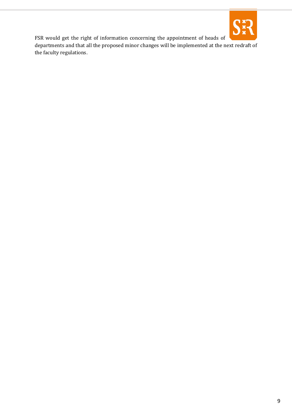

FSR would get the right of information concerning the appointment of heads of departments and that all the proposed minor changes will be implemented at the next redraft of the faculty regulations.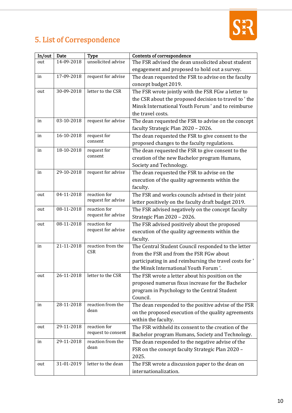

## 5. List of Correspondence

| In/out | Date       | <b>Type</b>                        | <b>Contents of correspondence</b>                       |
|--------|------------|------------------------------------|---------------------------------------------------------|
| out    | 14-09-2018 | unsolicited advise                 | The FSR advised the dean unsolicited about student      |
|        |            |                                    | engagement and proposed to hold out a survey.           |
| in     | 17-09-2018 | request for advise                 | The dean requested the FSR to advise on the faculty     |
|        |            |                                    | concept budget 2019.                                    |
| out    | 30-09-2018 | letter to the CSR                  | The FSR wrote jointly with the FSR FGw a letter to      |
|        |            |                                    | the CSR about the proposed decision to travel to 'the   |
|        |            |                                    | Minsk International Youth Forum ' and to reimburse      |
|        |            |                                    | the travel costs.                                       |
| in     | 03-10-2018 | request for advise                 | The dean requested the FSR to advise on the concept     |
|        |            |                                    | faculty Strategic Plan 2020 - 2026.                     |
| in     | 16-10-2018 | request for                        | The dean requested the FSR to give consent to the       |
|        |            | consent                            | proposed changes to the faculty regulations.            |
| in     | 18-10-2018 | request for                        | The dean requested the FSR to give consent to the       |
|        |            | consent                            | creation of the new Bachelor program Humans,            |
|        |            |                                    | Society and Technology.                                 |
| in     | 29-10-2018 | request for advise                 | The dean requested the FSR to advise on the             |
|        |            |                                    | execution of the quality agreements within the          |
|        |            |                                    | faculty.                                                |
| out    | 04-11-2018 | reaction for                       | The FSR and works councils advised in their joint       |
|        |            | request for advise                 | letter positively on the faculty draft budget 2019.     |
| out    | 08-11-2018 | reaction for                       | The FSR advised negatively on the concept faculty       |
|        |            | request for advise                 | Strategic Plan 2020 - 2026.                             |
| out    | 08-11-2018 | reaction for                       | The FSR advised positively about the proposed           |
|        |            | request for advise                 | execution of the quality agreements within the          |
|        |            |                                    | faculty.                                                |
| in     | 21-11-2018 | reaction from the<br><b>CSR</b>    | The Central Student Council responded to the letter     |
|        |            |                                    | from the FSR and from the FSR FGw about                 |
|        |            |                                    | participating in and reimbursing the travel costs for ' |
|        |            |                                    | the Minsk International Youth Forum '.                  |
| out    | 26-11-2018 | letter to the CSR                  | The FSR wrote a letter about his position on the        |
|        |            |                                    | proposed numerus fixus increase for the Bachelor        |
|        |            |                                    | program in Psychology to the Central Student            |
|        |            |                                    | Council.                                                |
| in     | 28-11-2018 | reaction from the<br>dean          | The dean responded to the positive advise of the FSR    |
|        |            |                                    | on the proposed execution of the quality agreements     |
|        |            |                                    | within the faculty.                                     |
| out    | 29-11-2018 | reaction for<br>request to consent | The FSR withheld its consent to the creation of the     |
|        |            |                                    | Bachelor program Humans, Society and Technology.        |
| in     | 29-11-2018 | reaction from the<br>dean          | The dean responded to the negative advise of the        |
|        |            |                                    | FSR on the concept faculty Strategic Plan 2020 -        |
|        |            |                                    | 2025.                                                   |
| out    | 31-01-2019 | letter to the dean                 | The FSR wrote a discussion paper to the dean on         |
|        |            |                                    | internationalization.                                   |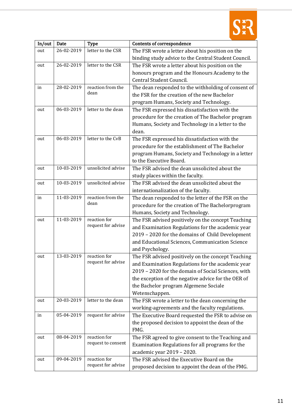

| In/out | Date             | <b>Type</b>                        | <b>Contents of correspondence</b>                                                                    |
|--------|------------------|------------------------------------|------------------------------------------------------------------------------------------------------|
| out    | 26-02-2019       | letter to the CSR                  | The FSR wrote a letter about his position on the                                                     |
|        |                  |                                    | binding study advice to the Central Student Council.                                                 |
| out    | 26-02-2019       | letter to the CSR                  | The FSR wrote a letter about his position on the                                                     |
|        |                  |                                    | honours program and the Honours Academy to the                                                       |
|        |                  |                                    | Central Student Council.                                                                             |
| in     | 28-02-2019       | reaction from the                  | The dean responded to the withholding of consent of                                                  |
|        |                  | dean                               | the FSR for the creation of the new Bachelor                                                         |
|        |                  |                                    | program Humans, Society and Technology.                                                              |
| out    | 06-03-2019       | letter to the dean                 | The FSR expressed his dissatisfaction with the                                                       |
|        |                  |                                    | procedure for the creation of The Bachelor program                                                   |
|        |                  |                                    | Humans, Society and Technology in a letter to the                                                    |
|        |                  |                                    | dean.                                                                                                |
| out    | 06-03-2019       | letter to the CvB                  | The FSR expressed his dissatisfaction with the                                                       |
|        |                  |                                    | procedure for the establishment of The Bachelor                                                      |
|        |                  |                                    | program Humans, Society and Technology in a letter                                                   |
|        |                  |                                    | to the Executive Board.                                                                              |
| out    | $10 - 03 - 2019$ | unsolicited advise                 | The FSR advised the dean unsolicited about the                                                       |
|        |                  |                                    | study places within the faculty.                                                                     |
| out    | 10-03-2019       | unsolicited advise                 | The FSR advised the dean unsolicited about the                                                       |
|        |                  |                                    | internationalization of the faculty.                                                                 |
| in     | 11-03-2019       | reaction from the                  | The dean responded to the letter of the FSR on the                                                   |
|        |                  | dean                               | procedure for the creation of The Bachelorprogram                                                    |
|        |                  |                                    | Humans, Society and Technology.                                                                      |
| out    | 11-03-2019       | reaction for<br>request for advise | The FSR advised positively on the concept Teaching                                                   |
|        |                  |                                    | and Examination Regulations for the academic year                                                    |
|        |                  |                                    | 2019 - 2020 for the domains of Child Development                                                     |
|        |                  |                                    | and Educational Sciences, Communication Science                                                      |
|        |                  |                                    | and Psychology.                                                                                      |
| out    | 13-03-2019       | reaction for<br>request for advise | The FSR advised positively on the concept Teaching                                                   |
|        |                  |                                    | and Examination Regulations for the academic year                                                    |
|        |                  |                                    | 2019 - 2020 for the domain of Social Sciences, with                                                  |
|        |                  |                                    | the exception of the negative advice for the OER of                                                  |
|        |                  |                                    | the Bachelor program Algemene Sociale                                                                |
| out    | 20-03-2019       | letter to the dean                 | Wetenschappen.                                                                                       |
|        |                  |                                    | The FSR wrote a letter to the dean concerning the<br>working-agreements and the faculty regulations. |
| in     | 05-04-2019       | request for advise                 | The Executive Board requested the FSR to advise on                                                   |
|        |                  |                                    | the proposed decision to appoint the dean of the                                                     |
|        |                  |                                    | FMG.                                                                                                 |
| out    | 08-04-2019       | reaction for                       | The FSR agreed to give consent to the Teaching and                                                   |
|        |                  | request to consent                 | Examination Regulations for all programs for the                                                     |
|        |                  |                                    | academic year 2019 - 2020.                                                                           |
| out    | 09-04-2019       | reaction for                       | The FSR advised the Executive Board on the                                                           |
|        |                  | request for advise                 | proposed decision to appoint the dean of the FMG.                                                    |
|        |                  |                                    |                                                                                                      |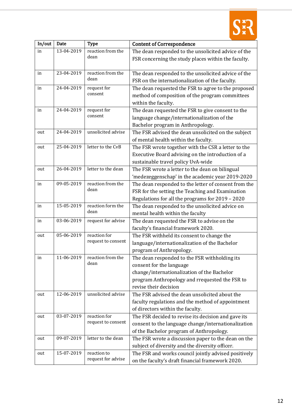

| In/out | Date       | <b>Type</b>        | <b>Content of Correspondence</b>                     |
|--------|------------|--------------------|------------------------------------------------------|
| in     | 13-04-2019 | reaction from the  | The dean responded to the unsolicited advice of the  |
|        |            | dean               | FSR concerning the study places within the faculty.  |
|        |            |                    |                                                      |
| in     | 23-04-2019 | reaction from the  | The dean responded to the unsolicited advice of the  |
|        |            | dean               | FSR on the internationalization of the faculty.      |
| in     | 24-04-2019 | request for        | The dean requested the FSR to agree to the proposed  |
|        |            | consent            | method of composition of the program committees      |
|        |            |                    | within the faculty.                                  |
| in     | 24-04-2019 | request for        | The dean requested the FSR to give consent to the    |
|        |            | consent            | language change/internationalization of the          |
|        |            |                    | Bachelor program in Anthropology.                    |
| out    | 24-04-2019 | unsolicited advise | The FSR advised the dean unsolicited on the subject  |
|        |            |                    | of mental health within the faculty.                 |
| out    | 25-04-2019 | letter to the CvB  | The FSR wrote together with the CSR a letter to the  |
|        |            |                    | Executive Board advising on the introduction of a    |
|        |            |                    | sustainable travel policy UvA-wide                   |
| out    | 26-04-2019 | letter to the dean | The FSR wrote a letter to the dean on bilingual      |
|        |            |                    | 'medezeggenschap' in the academic year 2019-2020     |
| in     | 09-05-2019 | reaction from the  | The dean responded to the letter of consent from the |
|        |            | dean               | FSR for the setting the Teaching and Examination     |
|        |            |                    | Regulations for all the programs for 2019 - 2020     |
| in     | 15-05-2019 | reaction form the  | The dean responded to the unsolicited advice on      |
|        |            | dean               | mental health within the faculty                     |
| in     | 03-06-2019 | request for advise | The dean requested the FSR to advise on the          |
|        |            |                    | faculty's financial framework 2020.                  |
| out    | 05-06-2019 | reaction for       | The FSR withheld its consent to change the           |
|        |            | request to consent | language/internationalization of the Bachelor        |
|        |            |                    | program of Anthropology.                             |
| in     | 11-06-2019 | reaction from the  | The dean responded to the FSR withholding its        |
|        |            | dean               | consent for the language                             |
|        |            |                    | change/internationalization of the Bachelor          |
|        |            |                    | program Anthropology and rrequested the FSR to       |
|        |            |                    | revise their decision                                |
| out    | 12-06-2019 | unsolicited advise | The FSR advised the dean unsolicited about the       |
|        |            |                    | faculty regulations and the method of appointment    |
|        |            |                    | of directors within the faculty.                     |
| out    | 03-07-2019 | reaction for       | The FSR decided to revise its decision and gave its  |
|        |            | request to consent | consent to the language change/internationalization  |
|        |            |                    | of the Bachelor program of Anthropology.             |
| out    | 09-07-2019 | letter to the dean | The FSR wrote a discussion paper to the dean on the  |
|        |            |                    | subject of diversity and the diversity officer.      |
| out    | 15-07-2019 | reaction to        | The FSR and works council jointly advised positively |
|        |            | request for advise | on the faculty's draft financial framework 2020.     |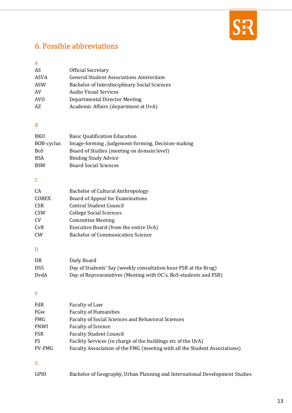

## 6. Possible abbreviations

## A

| AS              | Official Secretary                            |
|-----------------|-----------------------------------------------|
| ASVA            | <b>General Student Associations Amsterdam</b> |
| ASW             | Bachelor of Interdisciplinary Social Sciences |
| AV              | <b>Audio Visual Services</b>                  |
| AV <sub>0</sub> | Departmental Director Meeting                 |
| A7.             | Academic Affairs (department at UvA)          |

### B

| <b>Basic Qualification Education</b>              |
|---------------------------------------------------|
| Image-forming, Judgement-forming, Decision-making |
| Board of Studies (meeting on domain level)        |
| <b>Binding Study Advice</b>                       |
| <b>Board Social Sciences</b>                      |
|                                                   |

## C

| CA             | <b>Bachelor of Cultural Anthropology</b> |
|----------------|------------------------------------------|
| <b>COBEX</b>   | Board of Appeal for Examinations         |
| <b>CSR</b>     | <b>Central Student Council</b>           |
| <b>CSW</b>     | <b>College Social Sciences</b>           |
| CV <sub></sub> | <b>Committee Meeting</b>                 |
| CvB            | Executive Board (from the entire UvA)    |
| C <sub>W</sub> | <b>Bachelor of Communication Science</b> |

### D

| DB         | Daily Board                                                      |
|------------|------------------------------------------------------------------|
| <b>DSS</b> | Day of Students' Say (weekly consultation hour FSR at the Brug)  |
| DvdA       | Day of Representatives (Meeting with OC's, BoS-students and FSR) |

#### F

| Faculty Association of the FMG (meeting with all the Student Associations) |
|----------------------------------------------------------------------------|
|                                                                            |

### G

| GPIO | Bachelor of Geography, Urban Planning and International Development Studies |  |
|------|-----------------------------------------------------------------------------|--|
|      |                                                                             |  |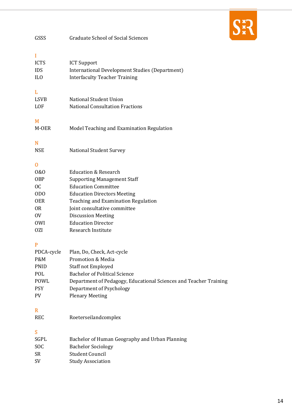

| GSSS                                                                                                                   | <b>Graduate School of Social Sciences</b>                                                                                                                                                                                                                                                        |
|------------------------------------------------------------------------------------------------------------------------|--------------------------------------------------------------------------------------------------------------------------------------------------------------------------------------------------------------------------------------------------------------------------------------------------|
| I<br><b>ICTS</b><br><b>IDS</b><br>IL <sub>0</sub>                                                                      | <b>ICT Support</b><br>International Development Studies (Department)<br><b>Interfaculty Teacher Training</b>                                                                                                                                                                                     |
| L<br><b>LSVB</b><br>LOF                                                                                                | <b>National Student Union</b><br><b>National Consultation Fractions</b>                                                                                                                                                                                                                          |
| M<br>M-OER                                                                                                             | Model Teaching and Examination Regulation                                                                                                                                                                                                                                                        |
| N<br><b>NSE</b>                                                                                                        | <b>National Student Survey</b>                                                                                                                                                                                                                                                                   |
| 0<br>0&0<br><b>OBP</b><br><sub>0</sub> C<br>OD <sub>0</sub><br><b>OER</b><br>0 <sub>R</sub><br>0V<br><b>OWI</b><br>0ZI | <b>Education &amp; Research</b><br><b>Supporting Management Staff</b><br><b>Education Committee</b><br><b>Education Directors Meeting</b><br>Teaching and Examination Regulation<br>Joint consultative committee<br><b>Discussion Meeting</b><br><b>Education Director</b><br>Research Institute |
| P<br>PDCA-cycle<br>P&M<br><b>PNID</b><br>POL<br>POWL<br><b>PSY</b><br>PV                                               | Plan, Do, Check, Act-cycle<br><b>Promotion &amp; Media</b><br>Staff not Employed<br><b>Bachelor of Political Science</b><br>Department of Pedagogy, Educational Sciences and Teacher Training<br>Department of Psychology<br><b>Plenary Meeting</b>                                              |
| R<br><b>REC</b>                                                                                                        | Roeterseilandcomplex                                                                                                                                                                                                                                                                             |
| S<br>SGPL<br><b>SOC</b><br><b>SR</b><br>SV                                                                             | Bachelor of Human Geography and Urban Planning<br><b>Bachelor Sociology</b><br><b>Student Council</b><br><b>Study Association</b>                                                                                                                                                                |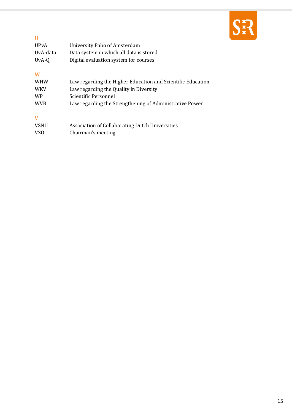

| -H          |                                         |
|-------------|-----------------------------------------|
| <b>UPvA</b> | University Pabo of Amsterdam            |
| UvA-data    | Data system in which all data is stored |
| UvA-Q       | Digital evaluation system for courses   |

#### W

| <b>WHW</b> | Law regarding the Higher Education and Scientific Education |
|------------|-------------------------------------------------------------|
| <b>WKV</b> | Law regarding the Quality in Diversity                      |
| <b>WP</b>  | Scientific Personnel                                        |
| <b>WVB</b> | Law regarding the Strengthening of Administrative Power     |
|            |                                                             |

#### V

| <b>VSNU</b> | Association of Collaborating Dutch Universities |
|-------------|-------------------------------------------------|
| VZO         | Chairman's meeting                              |